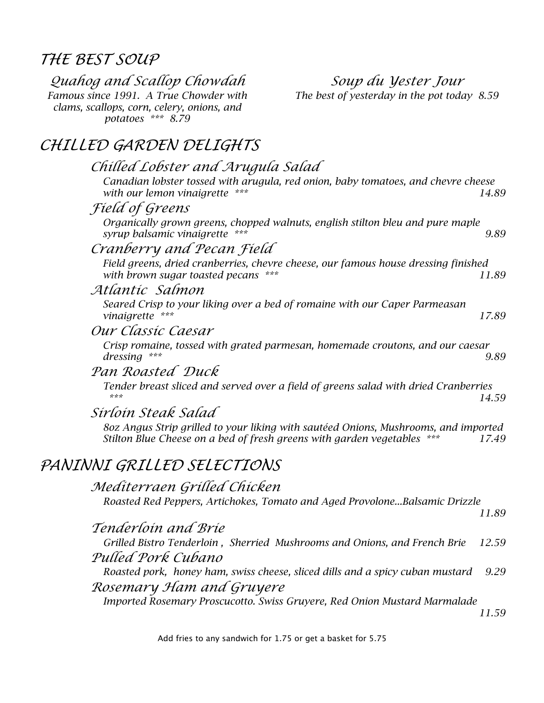# THE BEST SOUP

Quahog and Scallop Chowdah *Famous since 1991. A True Chowder with clams, scallops, corn, celery, onions, and potatoes \*\*\* 8.79*

Soup du Yester Jour *The best of yesterday in the pot today 8.59*

# CHILLED GARDEN DELIGHTS

# Chilled Lobster and Arugula Salad

*Canadian lobster tossed with arugula, red onion, baby tomatoes, and chevre cheese with our lemon vinaigrette \*\*\* 14.89*

#### Field of Greens

*Organically grown greens, chopped walnuts, english stilton bleu and pure maple syrup balsamic vinaigrette \*\*\* 9.89*

#### Cranberry and Pecan Field

*Field greens, dried cranberries, chevre cheese, our famous house dressing finished with brown sugar toasted pecans \*\*\* 11.89*

## Atlantic Salmon

*Seared Crisp to your liking over a bed of romaine with our Caper Parmeasan vinaigrette \*\*\* 17.89*

#### Our Classic Caesar

*Crisp romaine, tossed with grated parmesan, homemade croutons, and our caesar dressing \*\*\* 9.89*

## Pan Roasted Duck

*Tender breast sliced and served over a field of greens salad with dried Cranberries \*\*\* 14.59*

#### Sirloin Steak Salad

*8oz Angus Strip grilled to your liking with sautéed Onions, Mushrooms, and imported Stilton Blue Cheese on a bed of fresh greens with garden vegetables \*\*\* 17.49*

# PANINNI GRILLED SELECTIONS

## Mediterraen Grilled Chicken

*Roasted Red Peppers, Artichokes, Tomato and Aged Provolone...Balsamic Drizzle*

*11.89*

#### Tenderloin and Brie

*Grilled Bistro Tenderloin , Sherried Mushrooms and Onions, and French Brie 12.59* Pulled Pork Cubano

*Roasted pork, honey ham, swiss cheese, sliced dills and a spicy cuban mustard 9.29* Rosemary Ham and Gruyere

*Imported Rosemary Proscucotto. Swiss Gruyere, Red Onion Mustard Marmalade*

*11.59*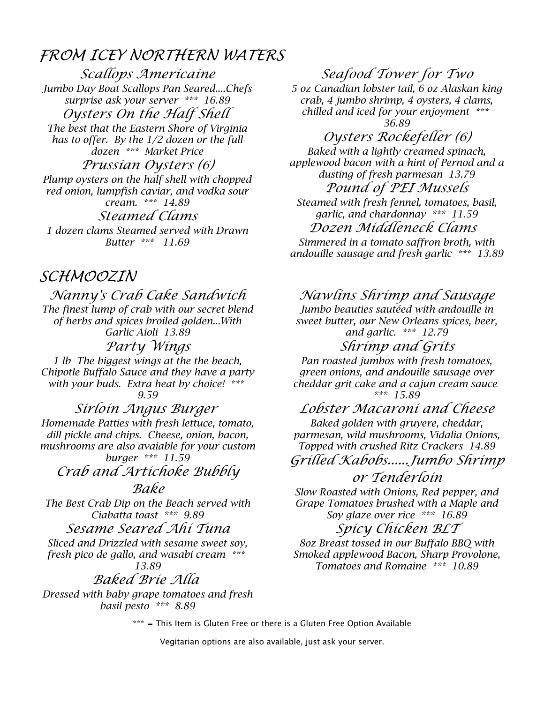# FROM ICEY NORTHERN WATERS

Scallops Americaine *Jumbo Day Boat Scallops Pan Seared....Chefs surprise ask your server \*\*\* 16.89* Oysters On the Half Shell *The best that the Eastern Shore of Virginia has to offer. By the 1/2 dozen or the full dozen \*\*\* Market Price* Prussian Oysters (6) *Plump oysters on the half shell with chopped red onion, lumpfish caviar, and vodka sour cream. \*\*\* 14.89*

Steamed Clams *1 dozen clams Steamed served with Drawn Butter \*\*\* 11.69*

# SCHMOOZIN

#### Nanny's Crab Cake Sandwich

*The finest lump of crab with our secret blend of herbs and spices broiled golden...With Garlic Aioli 13.89*

Party Wings *1 lb The biggest wings at the the beach, Chipotle Buffalo Sauce and they have a party with your buds. Extra heat by choice! \*\*\* 9.59*

Sirloin Angus Burger *Homemade Patties with fresh lettuce, tomato, dill pickle and chips. Cheese, onion, bacon, mushrooms are also avaiable for your custom burger \*\*\* 11.59*

Crab and Artichoke Bubbly

#### Bake

*The Best Crab Dip on the Beach served with Ciabatta toast \*\*\* 9.89*

#### Sesame Seared Ahi Tuna

*Sliced and Drizzled with sesame sweet soy, fresh pico de gallo, and wasabi cream \*\*\** 

# *13.89*

# Baked Brie Alla

*Dressed with baby grape tomatoes and fresh basil pesto \*\*\* 8.89*

Seafood Tower for Two *5 oz Canadian lobster tail, 6 oz Alaskan king crab, 4 jumbo shrimp, 4 oysters, 4 clams, chilled and iced for your enjoyment \*\*\* 36.89*

Oysters Rockefeller (6) *Baked with a lightly creamed spinach, applewood bacon with a hint of Pernod and a dusting of fresh parmesan 13.79* Pound of PEI Mussels *Steamed with fresh fennel, tomatoes, basil, garlic, and chardonnay \*\*\* 11.59* Dozen Middleneck Clams *Simmered in a tomato saffron broth, with andouille sausage and fresh garlic \*\*\* 13.89*

Nawlins Shrimp and Sausage

*Jumbo beauties sautéed with andouille in sweet butter, our New Orleans spices, beer, and garlic. \*\*\* 12.79*

## Shrimp and Grits

*Pan roasted jumbos with fresh tomatoes, green onions, and andouille sausage over cheddar grit cake and a cajun cream sauce \*\*\* 15.89*

Lobster Macaroni and Cheese *Baked golden with gruyere, cheddar,*

*parmesan, wild mushrooms, Vidalia Onions, Topped with crushed Ritz Crackers 14.89* Grilled Kabobs......Jumbo Shrimp

## or Tenderloin

*Slow Roasted with Onions, Red pepper, and Grape Tomatoes brushed with a Maple and Soy glaze over rice \*\*\* 16.89*

## Spicy Chicken BLT

*8oz Breast tossed in our Buffalo BBQ with Smoked applewood Bacon, Sharp Provolone, Tomatoes and Romaine \*\*\* 10.89*

\*\*\* = This Item is Gluten Free or there is a Gluten Free Option Available

Vegitarian options are also available, just ask your server.